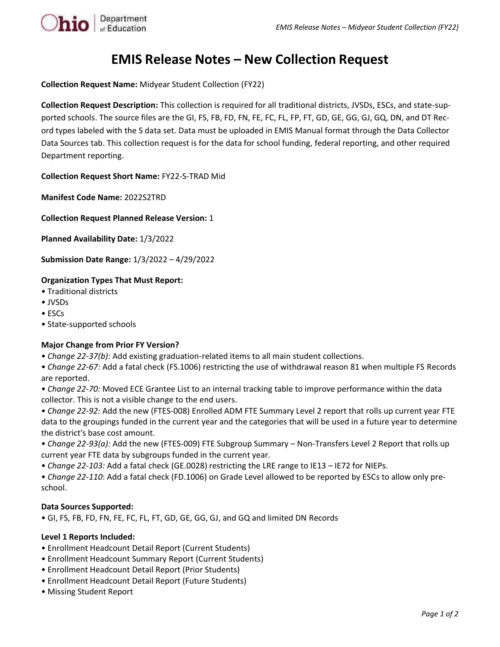

# **EMIS Release Notes – New Collection Request**

**Collection Request Name:** Midyear Student Collection (FY22)

**Collection Request Description:** This collection is required for all traditional districts, JVSDs, ESCs, and state-supported schools. The source files are the GI, FS, FB, FD, FN, FE, FC, FL, FP, FT, GD, GE, GG, GJ, GQ, DN, and DT Record types labeled with the S data set. Data must be uploaded in EMIS Manual format through the Data Collector Data Sources tab. This collection request is for the data for school funding, federal reporting, and other required Department reporting.

**Collection Request Short Name:** FY22-S-TRAD Mid

**Manifest Code Name:** 2022S2TRD

**Collection Request Planned Release Version:** 1

**Planned Availability Date:** 1/3/2022

**Submission Date Range:** 1/3/2022 – 4/29/2022

## **Organization Types That Must Report:**

- Traditional districts
- JVSDs
- ESCs
- State-supported schools

### **Major Change from Prior FY Version?**

• *Change 22-37(b)*: Add existing graduation-related items to all main student collections.

• *Change 22-67:* Add a fatal check (FS.1006) restricting the use of withdrawal reason 81 when multiple FS Records are reported.

• *Change 22-70:* Moved ECE Grantee List to an internal tracking table to improve performance within the data collector. This is not a visible change to the end users.

• *Change 22-92:* Add the new (FTES-008) Enrolled ADM FTE Summary Level 2 report that rolls up current year FTE data to the groupings funded in the current year and the categories that will be used in a future year to determine the district's base cost amount.

• *Change 22-93(a):* Add the new (FTES-009) FTE Subgroup Summary – Non-Transfers Level 2 Report that rolls up current year FTE data by subgroups funded in the current year.

• *Change 22-103:* Add a fatal check (GE.0028) restricting the LRE range to IE13 – IE72 for NIEPs.

• *Change 22-110*: Add a fatal check (FD.1006) on Grade Level allowed to be reported by ESCs to allow only preschool.

### **Data Sources Supported:**

• GI, FS, FB, FD, FN, FE, FC, FL, FT, GD, GE, GG, GJ, and GQ and limited DN Records

### **Level 1 Reports Included:**

- Enrollment Headcount Detail Report (Current Students)
- Enrollment Headcount Summary Report (Current Students)
- Enrollment Headcount Detail Report (Prior Students)
- Enrollment Headcount Detail Report (Future Students)
- Missing Student Report